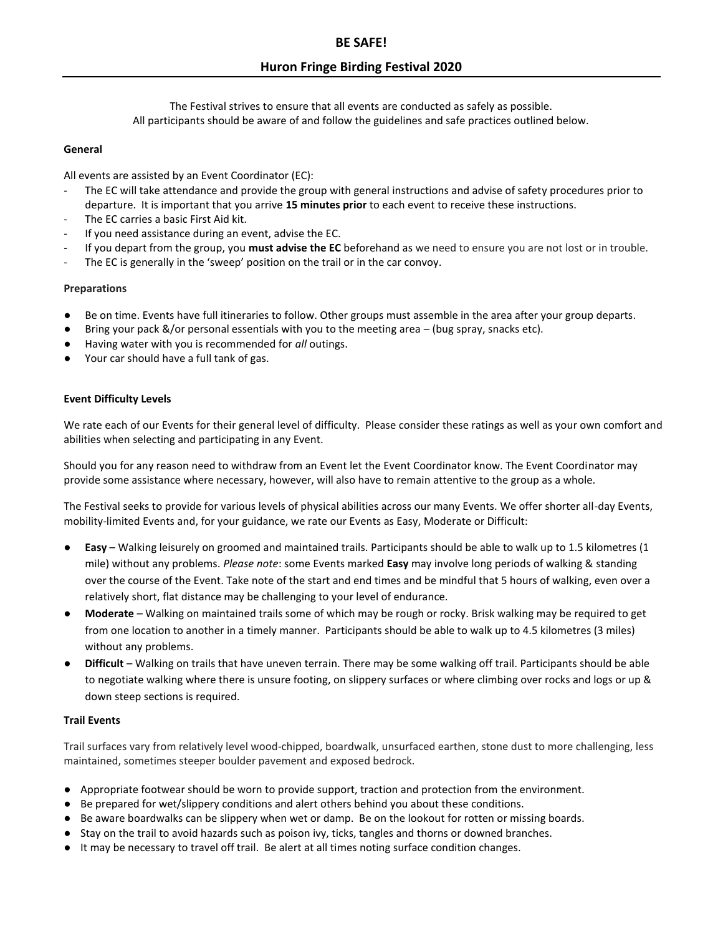# **Huron Fringe Birding Festival 2020**

The Festival strives to ensure that all events are conducted as safely as possible. All participants should be aware of and follow the guidelines and safe practices outlined below.

### **General**

All events are assisted by an Event Coordinator (EC):

- The EC will take attendance and provide the group with general instructions and advise of safety procedures prior to departure. It is important that you arrive **15 minutes prior** to each event to receive these instructions.
- The EC carries a basic First Aid kit.
- If you need assistance during an event, advise the EC.
- If you depart from the group, you **must advise the EC** beforehand as we need to ensure you are not lost or in trouble.
- The EC is generally in the 'sweep' position on the trail or in the car convoy.

# **Preparations**

- Be on time. Events have full itineraries to follow. Other groups must assemble in the area after your group departs.
- Bring your pack  $\&/$  or personal essentials with you to the meeting area (bug spray, snacks etc).
- Having water with you is recommended for *all* outings.
- Your car should have a full tank of gas.

### **Event Difficulty Levels**

We rate each of our Events for their general level of difficulty. Please consider these ratings as well as your own comfort and abilities when selecting and participating in any Event.

Should you for any reason need to withdraw from an Event let the Event Coordinator know. The Event Coordinator may provide some assistance where necessary, however, will also have to remain attentive to the group as a whole.

The Festival seeks to provide for various levels of physical abilities across our many Events. We offer shorter all-day Events, mobility-limited Events and, for your guidance, we rate our Events as Easy, Moderate or Difficult:

- **Easy** Walking leisurely on groomed and maintained trails. Participants should be able to walk up to 1.5 kilometres (1 mile) without any problems. *Please note*: some Events marked **Easy** may involve long periods of walking & standing over the course of the Event. Take note of the start and end times and be mindful that 5 hours of walking, even over a relatively short, flat distance may be challenging to your level of endurance.
- **Moderate** Walking on maintained trails some of which may be rough or rocky. Brisk walking may be required to get from one location to another in a timely manner. Participants should be able to walk up to 4.5 kilometres (3 miles) without any problems.
- Difficult Walking on trails that have uneven terrain. There may be some walking off trail. Participants should be able to negotiate walking where there is unsure footing, on slippery surfaces or where climbing over rocks and logs or up & down steep sections is required.

# **Trail Events**

Trail surfaces vary from relatively level wood-chipped, boardwalk, unsurfaced earthen, stone dust to more challenging, less maintained, sometimes steeper boulder pavement and exposed bedrock.

- Appropriate footwear should be worn to provide support, traction and protection from the environment.
- Be prepared for wet/slippery conditions and alert others behind you about these conditions.
- Be aware boardwalks can be slippery when wet or damp. Be on the lookout for rotten or missing boards.
- Stay on the trail to avoid hazards such as poison ivy, ticks, tangles and thorns or downed branches.
- It may be necessary to travel off trail. Be alert at all times noting surface condition changes.